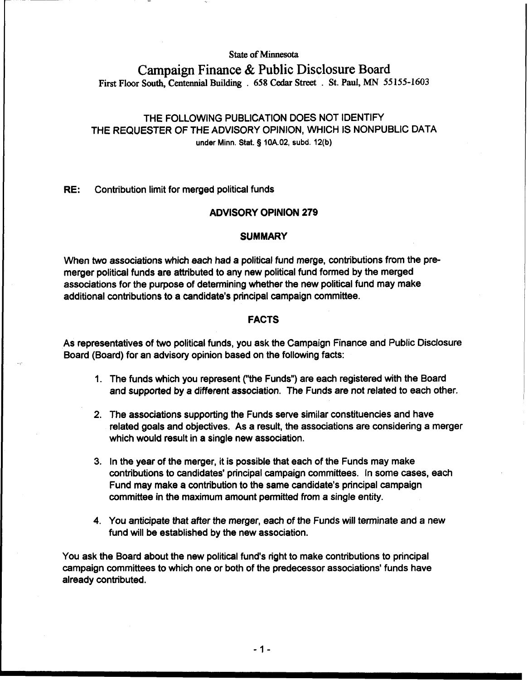## **State of Minnesota**

# **Campaign Finance** & **Public Disclosure Board First Floor South, Centennial Building** . **658 Cedar Street** ' . **St. Paul, MN 55 155- 1603**

## THE FOLLOWING PUBLICATION DOES NOT IDENTIFY THE REQUESTER OF THE ADVISORY OPINION, WHICH IS NONPUBLIC DATA **under Minn.** Stat. § **10A.02, subd. 12(b)**

## **RE:** Contribution limit for merged political funds

## **ADVISORY OPINION 279**

#### **SUMMARY**

When two associations which each had a political fund merge, contributions from the premerger political funds are attributed to any new political fund formed by the merged associations for the purpose of determining whether the new political fund may make additional contributions to a candidate's principal campaign committee.

#### **FACTS**

As representatives of two political funds, you ask the Campaign Finance and Public Disclosure Board (Board) for an advisory opinion based on the following facts:

- 1. The funds which you represent ("the Funds") are each registered with the Board and supported by a different association. The Funds are not related to each other.
- 2. The associations supporting the Funds serve similar constituencies and have related goals and objectives. As a result, the associations are considering a merger which would result in a single new association.
- 3. In the year of the merger, it is possible that each of the Funds may make contributions to candidates' principal campaign committees. In some cases, each Fund may make a contribution to the same candidate's principal campaign committee in the maximum amount permitted from a single entity.
- 4. You anticipate that after the merger, each of the Funds will terminate and a new fund will be established by the new association.

You ask the Board about the new political fund's right to make contributions to principal campaign committees to which one or both of the predecessor associations' funds have already contributed.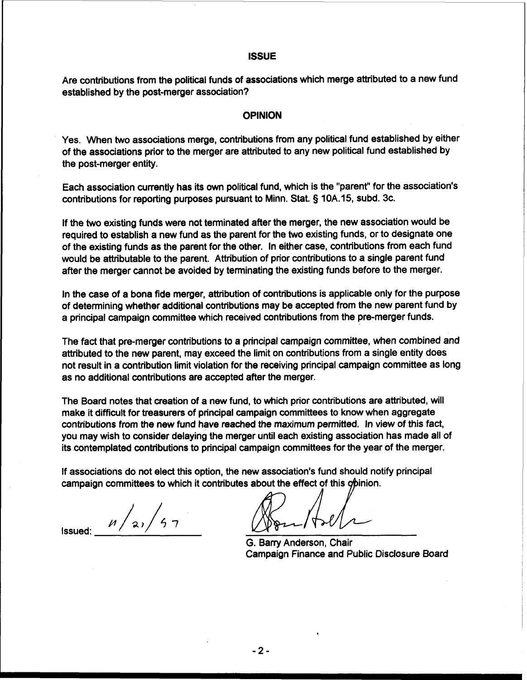## **ISSUE**

Are contributions from the political funds of associations which merge attributed to a new fund established by the post-merger association?

#### **OPINION**

Yes. When two associations merge, contributions from any political fund established by either of the associations prior to the merger are attributed to any new political fund established by the post-merger entity.

Each association currently has its own political fund, which is the "parent" for the association's contributions for reporting purposes pursuant to Minn. Stat. § 10A. 15, subd. 3c.

If the two existing funds were not terminated after the merger, the new association would be required to establish a new fund as the parent for the two existing funds, or to designate one of the existing funds as the parent for the other. In either case, contributions from each fund would be attributable to the parent. Attribution of prior contributions to a single parent fund after the merger cannot be avoided by terminating the existing funds before to the merger.

In the case of a bona fide merger, attribution of contributions is applicable only for the purpose of determining whether additional contributions may be accepted from the new parent fund by a principal campaign committee which received contributions from the pre-merger funds.

The fact that pre-merger contributions to a principal campaign committee, when combined and attributed to the new parent, may exceed the limit on contributions from a single entity does not result in a contribution limit violation for the receiving principal campaign committee as long as no additional contributions are accepted after the merger.

The Board notes that creation of a new fund, to which prior contributions are attributed, will make it difficult for treasurers of principal campaign committees to know when aggregate contributions from the new fund have reached the maximum permitted. In view of this fact, you may wish to consider delaying the merger until each existing association has made all of its contemplated contributions to principal campaign committees for the year of the merger.

If associations do not elect this option, the new association's fund should notify principal campaign committees to which it contributes about the effect of this opinion.

 $n/21/57$ Issued:

G. Barry Anderson, Chair Campaign Finance and Public Disclosure Board

 $-2-$